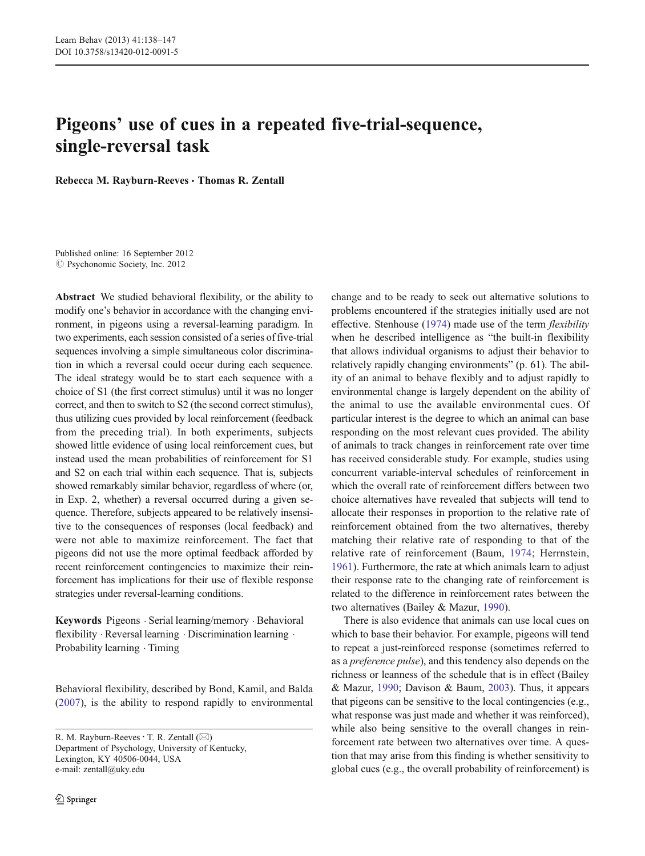# Pigeons' use of cues in a repeated five-trial-sequence, single-reversal task

Rebecca M. Rayburn-Reeves · Thomas R. Zentall

Published online: 16 September 2012  $\circ$  Psychonomic Society, Inc. 2012

Abstract We studied behavioral flexibility, or the ability to modify one's behavior in accordance with the changing environment, in pigeons using a reversal-learning paradigm. In two experiments, each session consisted of a series of five-trial sequences involving a simple simultaneous color discrimination in which a reversal could occur during each sequence. The ideal strategy would be to start each sequence with a choice of S1 (the first correct stimulus) until it was no longer correct, and then to switch to S2 (the second correct stimulus), thus utilizing cues provided by local reinforcement (feedback from the preceding trial). In both experiments, subjects showed little evidence of using local reinforcement cues, but instead used the mean probabilities of reinforcement for S1 and S2 on each trial within each sequence. That is, subjects showed remarkably similar behavior, regardless of where (or, in Exp. 2, whether) a reversal occurred during a given sequence. Therefore, subjects appeared to be relatively insensitive to the consequences of responses (local feedback) and were not able to maximize reinforcement. The fact that pigeons did not use the more optimal feedback afforded by recent reinforcement contingencies to maximize their reinforcement has implications for their use of flexible response strategies under reversal-learning conditions.

Keywords Pigeons . Serial learning/memory . Behavioral flexibility . Reversal learning . Discrimination learning . Probability learning . Timing

Behavioral flexibility, described by Bond, Kamil, and Balda [\(2007](#page-8-0)), is the ability to respond rapidly to environmental change and to be ready to seek out alternative solutions to problems encountered if the strategies initially used are not effective. Stenhouse ([1974\)](#page-9-0) made use of the term flexibility when he described intelligence as "the built-in flexibility that allows individual organisms to adjust their behavior to relatively rapidly changing environments" (p. 61). The ability of an animal to behave flexibly and to adjust rapidly to environmental change is largely dependent on the ability of the animal to use the available environmental cues. Of particular interest is the degree to which an animal can base responding on the most relevant cues provided. The ability of animals to track changes in reinforcement rate over time has received considerable study. For example, studies using concurrent variable-interval schedules of reinforcement in which the overall rate of reinforcement differs between two choice alternatives have revealed that subjects will tend to allocate their responses in proportion to the relative rate of reinforcement obtained from the two alternatives, thereby matching their relative rate of responding to that of the relative rate of reinforcement (Baum, [1974](#page-8-0); Herrnstein, [1961](#page-9-0)). Furthermore, the rate at which animals learn to adjust their response rate to the changing rate of reinforcement is related to the difference in reinforcement rates between the two alternatives (Bailey & Mazur, [1990\)](#page-8-0).

There is also evidence that animals can use local cues on which to base their behavior. For example, pigeons will tend to repeat a just-reinforced response (sometimes referred to as a preference pulse), and this tendency also depends on the richness or leanness of the schedule that is in effect (Bailey & Mazur, [1990](#page-8-0); Davison & Baum, [2003\)](#page-9-0). Thus, it appears that pigeons can be sensitive to the local contingencies (e.g., what response was just made and whether it was reinforced), while also being sensitive to the overall changes in reinforcement rate between two alternatives over time. A question that may arise from this finding is whether sensitivity to global cues (e.g., the overall probability of reinforcement) is

R. M. Rayburn-Reeves  $\cdot$  T. R. Zentall ( $\boxtimes$ ) Department of Psychology, University of Kentucky, Lexington, KY 40506-0044, USA e-mail: zentall@uky.edu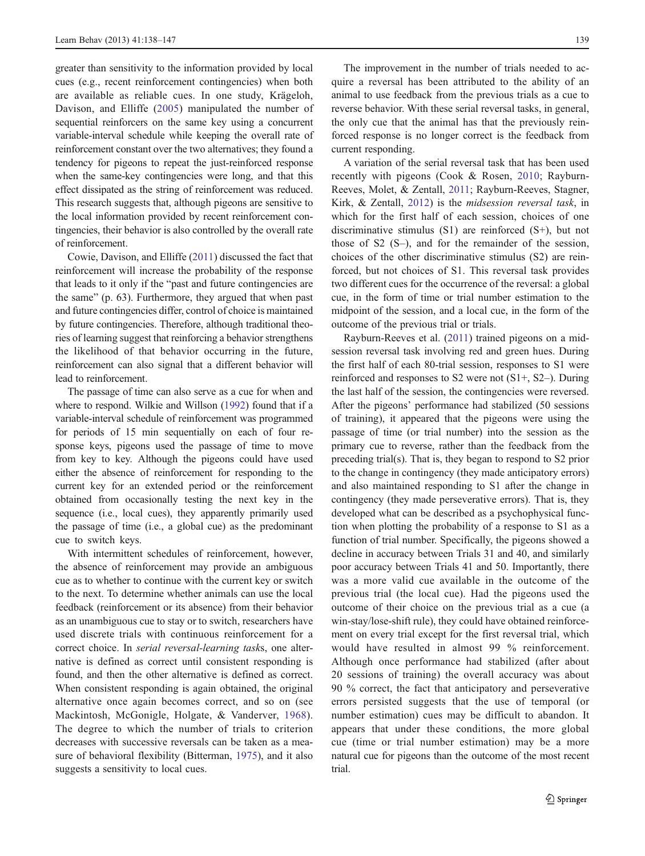greater than sensitivity to the information provided by local cues (e.g., recent reinforcement contingencies) when both are available as reliable cues. In one study, Krägeloh, Davison, and Elliffe ([2005](#page-9-0)) manipulated the number of sequential reinforcers on the same key using a concurrent variable-interval schedule while keeping the overall rate of reinforcement constant over the two alternatives; they found a tendency for pigeons to repeat the just-reinforced response when the same-key contingencies were long, and that this effect dissipated as the string of reinforcement was reduced. This research suggests that, although pigeons are sensitive to the local information provided by recent reinforcement contingencies, their behavior is also controlled by the overall rate of reinforcement.

Cowie, Davison, and Elliffe ([2011](#page-8-0)) discussed the fact that reinforcement will increase the probability of the response that leads to it only if the "past and future contingencies are the same" (p. 63). Furthermore, they argued that when past and future contingencies differ, control of choice is maintained by future contingencies. Therefore, although traditional theories of learning suggest that reinforcing a behavior strengthens the likelihood of that behavior occurring in the future, reinforcement can also signal that a different behavior will lead to reinforcement.

The passage of time can also serve as a cue for when and where to respond. Wilkie and Willson [\(1992\)](#page-9-0) found that if a variable-interval schedule of reinforcement was programmed for periods of 15 min sequentially on each of four response keys, pigeons used the passage of time to move from key to key. Although the pigeons could have used either the absence of reinforcement for responding to the current key for an extended period or the reinforcement obtained from occasionally testing the next key in the sequence (i.e., local cues), they apparently primarily used the passage of time (i.e., a global cue) as the predominant cue to switch keys.

With intermittent schedules of reinforcement, however, the absence of reinforcement may provide an ambiguous cue as to whether to continue with the current key or switch to the next. To determine whether animals can use the local feedback (reinforcement or its absence) from their behavior as an unambiguous cue to stay or to switch, researchers have used discrete trials with continuous reinforcement for a correct choice. In serial reversal-learning tasks, one alternative is defined as correct until consistent responding is found, and then the other alternative is defined as correct. When consistent responding is again obtained, the original alternative once again becomes correct, and so on (see Mackintosh, McGonigle, Holgate, & Vanderver, [1968](#page-9-0)). The degree to which the number of trials to criterion decreases with successive reversals can be taken as a measure of behavioral flexibility (Bitterman, [1975\)](#page-8-0), and it also suggests a sensitivity to local cues.

The improvement in the number of trials needed to acquire a reversal has been attributed to the ability of an animal to use feedback from the previous trials as a cue to reverse behavior. With these serial reversal tasks, in general, the only cue that the animal has that the previously reinforced response is no longer correct is the feedback from current responding.

A variation of the serial reversal task that has been used recently with pigeons (Cook & Rosen, [2010](#page-8-0); Rayburn-Reeves, Molet, & Zentall, [2011](#page-9-0); Rayburn-Reeves, Stagner, Kirk, & Zentall, [2012\)](#page-9-0) is the midsession reversal task, in which for the first half of each session, choices of one discriminative stimulus (S1) are reinforced (S+), but not those of S2 (S–), and for the remainder of the session, choices of the other discriminative stimulus (S2) are reinforced, but not choices of S1. This reversal task provides two different cues for the occurrence of the reversal: a global cue, in the form of time or trial number estimation to the midpoint of the session, and a local cue, in the form of the outcome of the previous trial or trials.

Rayburn-Reeves et al. [\(2011](#page-9-0)) trained pigeons on a midsession reversal task involving red and green hues. During the first half of each 80-trial session, responses to S1 were reinforced and responses to S2 were not (S1+, S2–). During the last half of the session, the contingencies were reversed. After the pigeons' performance had stabilized (50 sessions of training), it appeared that the pigeons were using the passage of time (or trial number) into the session as the primary cue to reverse, rather than the feedback from the preceding trial(s). That is, they began to respond to S2 prior to the change in contingency (they made anticipatory errors) and also maintained responding to S1 after the change in contingency (they made perseverative errors). That is, they developed what can be described as a psychophysical function when plotting the probability of a response to S1 as a function of trial number. Specifically, the pigeons showed a decline in accuracy between Trials 31 and 40, and similarly poor accuracy between Trials 41 and 50. Importantly, there was a more valid cue available in the outcome of the previous trial (the local cue). Had the pigeons used the outcome of their choice on the previous trial as a cue (a win-stay/lose-shift rule), they could have obtained reinforcement on every trial except for the first reversal trial, which would have resulted in almost 99 % reinforcement. Although once performance had stabilized (after about 20 sessions of training) the overall accuracy was about 90 % correct, the fact that anticipatory and perseverative errors persisted suggests that the use of temporal (or number estimation) cues may be difficult to abandon. It appears that under these conditions, the more global cue (time or trial number estimation) may be a more natural cue for pigeons than the outcome of the most recent trial.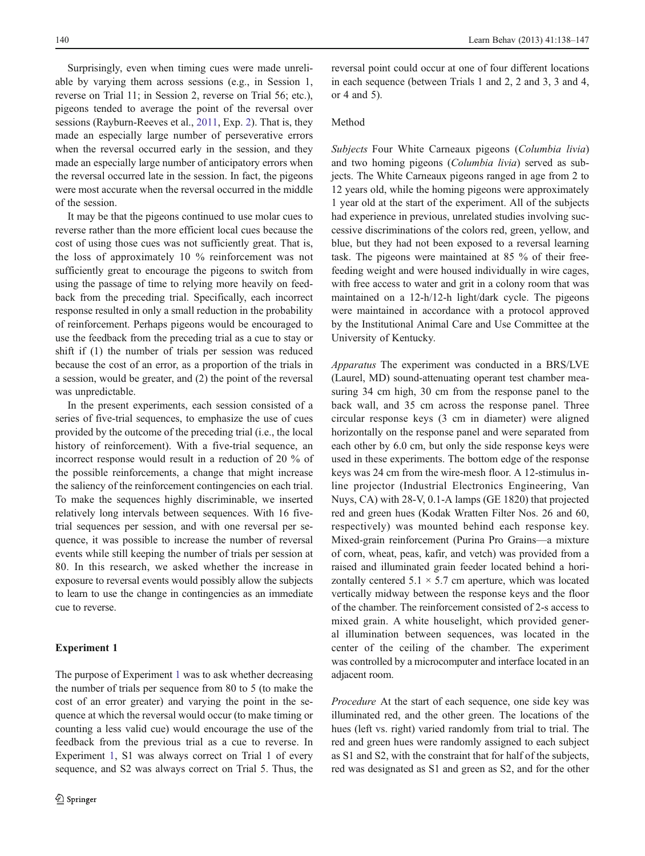<span id="page-2-0"></span>Surprisingly, even when timing cues were made unreliable by varying them across sessions (e.g., in Session 1, reverse on Trial 11; in Session 2, reverse on Trial 56; etc.), pigeons tended to average the point of the reversal over sessions (Rayburn-Reeves et al., [2011](#page-9-0), Exp. [2\)](#page-5-0). That is, they made an especially large number of perseverative errors when the reversal occurred early in the session, and they made an especially large number of anticipatory errors when the reversal occurred late in the session. In fact, the pigeons were most accurate when the reversal occurred in the middle of the session.

It may be that the pigeons continued to use molar cues to reverse rather than the more efficient local cues because the cost of using those cues was not sufficiently great. That is, the loss of approximately 10 % reinforcement was not sufficiently great to encourage the pigeons to switch from using the passage of time to relying more heavily on feedback from the preceding trial. Specifically, each incorrect response resulted in only a small reduction in the probability of reinforcement. Perhaps pigeons would be encouraged to use the feedback from the preceding trial as a cue to stay or shift if (1) the number of trials per session was reduced because the cost of an error, as a proportion of the trials in a session, would be greater, and (2) the point of the reversal was unpredictable.

In the present experiments, each session consisted of a series of five-trial sequences, to emphasize the use of cues provided by the outcome of the preceding trial (i.e., the local history of reinforcement). With a five-trial sequence, an incorrect response would result in a reduction of 20 % of the possible reinforcements, a change that might increase the saliency of the reinforcement contingencies on each trial. To make the sequences highly discriminable, we inserted relatively long intervals between sequences. With 16 fivetrial sequences per session, and with one reversal per sequence, it was possible to increase the number of reversal events while still keeping the number of trials per session at 80. In this research, we asked whether the increase in exposure to reversal events would possibly allow the subjects to learn to use the change in contingencies as an immediate cue to reverse.

# Experiment 1

The purpose of Experiment 1 was to ask whether decreasing the number of trials per sequence from 80 to 5 (to make the cost of an error greater) and varying the point in the sequence at which the reversal would occur (to make timing or counting a less valid cue) would encourage the use of the feedback from the previous trial as a cue to reverse. In Experiment 1, S1 was always correct on Trial 1 of every sequence, and S2 was always correct on Trial 5. Thus, the reversal point could occur at one of four different locations in each sequence (between Trials 1 and 2, 2 and 3, 3 and 4, or 4 and 5).

# Method

Subjects Four White Carneaux pigeons (Columbia livia) and two homing pigeons (Columbia livia) served as subjects. The White Carneaux pigeons ranged in age from 2 to 12 years old, while the homing pigeons were approximately 1 year old at the start of the experiment. All of the subjects had experience in previous, unrelated studies involving successive discriminations of the colors red, green, yellow, and blue, but they had not been exposed to a reversal learning task. The pigeons were maintained at 85 % of their freefeeding weight and were housed individually in wire cages, with free access to water and grit in a colony room that was maintained on a 12-h/12-h light/dark cycle. The pigeons were maintained in accordance with a protocol approved by the Institutional Animal Care and Use Committee at the University of Kentucky.

Apparatus The experiment was conducted in a BRS/LVE (Laurel, MD) sound-attenuating operant test chamber measuring 34 cm high, 30 cm from the response panel to the back wall, and 35 cm across the response panel. Three circular response keys (3 cm in diameter) were aligned horizontally on the response panel and were separated from each other by 6.0 cm, but only the side response keys were used in these experiments. The bottom edge of the response keys was 24 cm from the wire-mesh floor. A 12-stimulus inline projector (Industrial Electronics Engineering, Van Nuys, CA) with 28-V, 0.1-A lamps (GE 1820) that projected red and green hues (Kodak Wratten Filter Nos. 26 and 60, respectively) was mounted behind each response key. Mixed-grain reinforcement (Purina Pro Grains—a mixture of corn, wheat, peas, kafir, and vetch) was provided from a raised and illuminated grain feeder located behind a horizontally centered  $5.1 \times 5.7$  cm aperture, which was located vertically midway between the response keys and the floor of the chamber. The reinforcement consisted of 2-s access to mixed grain. A white houselight, which provided general illumination between sequences, was located in the center of the ceiling of the chamber. The experiment was controlled by a microcomputer and interface located in an adjacent room.

Procedure At the start of each sequence, one side key was illuminated red, and the other green. The locations of the hues (left vs. right) varied randomly from trial to trial. The red and green hues were randomly assigned to each subject as S1 and S2, with the constraint that for half of the subjects, red was designated as S1 and green as S2, and for the other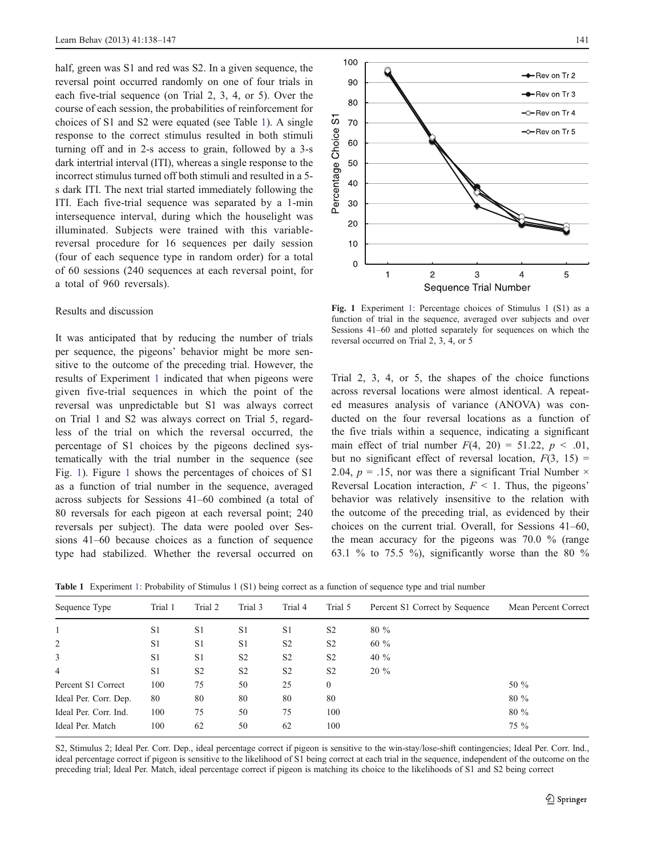<span id="page-3-0"></span>half, green was S1 and red was S2. In a given sequence, the reversal point occurred randomly on one of four trials in each five-trial sequence (on Trial 2, 3, 4, or 5). Over the course of each session, the probabilities of reinforcement for choices of S1 and S2 were equated (see Table 1). A single response to the correct stimulus resulted in both stimuli turning off and in 2-s access to grain, followed by a 3-s dark intertrial interval (ITI), whereas a single response to the incorrect stimulus turned off both stimuli and resulted in a 5 s dark ITI. The next trial started immediately following the ITI. Each five-trial sequence was separated by a 1-min intersequence interval, during which the houselight was illuminated. Subjects were trained with this variablereversal procedure for 16 sequences per daily session (four of each sequence type in random order) for a total of 60 sessions (240 sequences at each reversal point, for a total of 960 reversals).

## Results and discussion

It was anticipated that by reducing the number of trials per sequence, the pigeons' behavior might be more sensitive to the outcome of the preceding trial. However, the results of Experiment [1](#page-2-0) indicated that when pigeons were given five-trial sequences in which the point of the reversal was unpredictable but S1 was always correct on Trial 1 and S2 was always correct on Trial 5, regardless of the trial on which the reversal occurred, the percentage of S1 choices by the pigeons declined systematically with the trial number in the sequence (see Fig. 1). Figure 1 shows the percentages of choices of S1 as a function of trial number in the sequence, averaged across subjects for Sessions 41–60 combined (a total of 80 reversals for each pigeon at each reversal point; 240 reversals per subject). The data were pooled over Sessions 41–60 because choices as a function of sequence type had stabilized. Whether the reversal occurred on



Fig. 1 Experiment [1](#page-2-0): Percentage choices of Stimulus 1 (S1) as a function of trial in the sequence, averaged over subjects and over Sessions 41–60 and plotted separately for sequences on which the reversal occurred on Trial 2, 3, 4, or 5

Trial 2, 3, 4, or 5, the shapes of the choice functions across reversal locations were almost identical. A repeated measures analysis of variance (ANOVA) was conducted on the four reversal locations as a function of the five trials within a sequence, indicating a significant main effect of trial number  $F(4, 20) = 51.22$ ,  $p < .01$ , but no significant effect of reversal location,  $F(3, 15) =$ 2.04,  $p = 0.15$ , nor was there a significant Trial Number  $\times$ Reversal Location interaction,  $F \leq 1$ . Thus, the pigeons' behavior was relatively insensitive to the relation with the outcome of the preceding trial, as evidenced by their choices on the current trial. Overall, for Sessions 41–60, the mean accuracy for the pigeons was 70.0 % (range 63.1 % to 75.5 %), significantly worse than the 80 %

Table 1 Experiment [1:](#page-2-0) Probability of Stimulus 1 (S1) being correct as a function of sequence type and trial number

| Sequence Type         | Trial 1        | Trial 2        | Trial 3        | Trial 4        | Trial 5        | Percent S1 Correct by Sequence | Mean Percent Correct |
|-----------------------|----------------|----------------|----------------|----------------|----------------|--------------------------------|----------------------|
|                       | S <sub>1</sub> | S <sub>1</sub> | S <sub>1</sub> | S <sub>1</sub> | S <sub>2</sub> | 80 %                           |                      |
| 2                     | S <sub>1</sub> | S <sub>1</sub> | S <sub>1</sub> | S <sub>2</sub> | S <sub>2</sub> | 60 $%$                         |                      |
| 3                     | S <sub>1</sub> | S <sub>1</sub> | S <sub>2</sub> | S <sub>2</sub> | S <sub>2</sub> | 40 $\%$                        |                      |
| $\overline{4}$        | S <sub>1</sub> | S <sub>2</sub> | S <sub>2</sub> | S <sub>2</sub> | S <sub>2</sub> | $20\%$                         |                      |
| Percent S1 Correct    | 100            | 75             | 50             | 25             | $\mathbf{0}$   |                                | 50 $\%$              |
| Ideal Per. Corr. Dep. | 80             | 80             | 80             | 80             | 80             |                                | $80\%$               |
| Ideal Per. Corr. Ind. | 100            | 75             | 50             | 75             | 100            |                                | 80 %                 |
| Ideal Per. Match      | 100            | 62             | 50             | 62             | 100            |                                | $75\%$               |
|                       |                |                |                |                |                |                                |                      |

S2, Stimulus 2; Ideal Per. Corr. Dep., ideal percentage correct if pigeon is sensitive to the win-stay/lose-shift contingencies; Ideal Per. Corr. Ind., ideal percentage correct if pigeon is sensitive to the likelihood of S1 being correct at each trial in the sequence, independent of the outcome on the preceding trial; Ideal Per. Match, ideal percentage correct if pigeon is matching its choice to the likelihoods of S1 and S2 being correct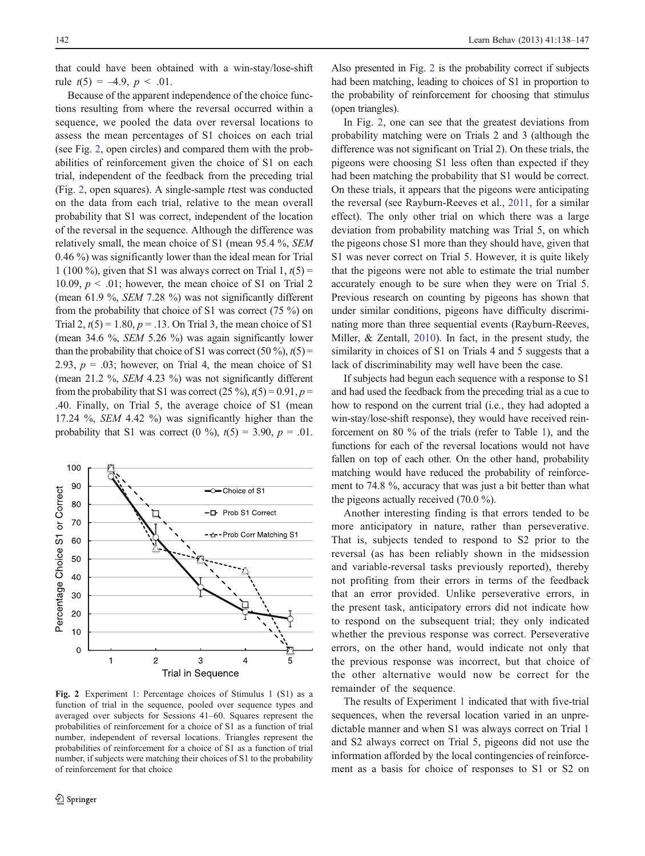that could have been obtained with a win-stay/lose-shift rule  $t(5) = -4.9$ ,  $p < .01$ .

Because of the apparent independence of the choice functions resulting from where the reversal occurred within a sequence, we pooled the data over reversal locations to assess the mean percentages of S1 choices on each trial (see Fig. 2, open circles) and compared them with the probabilities of reinforcement given the choice of S1 on each trial, independent of the feedback from the preceding trial (Fig. 2, open squares). A single-sample ttest was conducted on the data from each trial, relative to the mean overall probability that S1 was correct, independent of the location of the reversal in the sequence. Although the difference was relatively small, the mean choice of S1 (mean 95.4 %, SEM 0.46 %) was significantly lower than the ideal mean for Trial 1 (100 %), given that S1 was always correct on Trial 1,  $t(5)$  = 10.09,  $p < 0.01$ ; however, the mean choice of S1 on Trial 2 (mean 61.9 %, SEM 7.28 %) was not significantly different from the probability that choice of S1 was correct (75 %) on Trial 2,  $t(5) = 1.80$ ,  $p = .13$ . On Trial 3, the mean choice of S1 (mean 34.6 %, SEM 5.26 %) was again significantly lower than the probability that choice of S1 was correct (50 %),  $t(5) =$ 2.93,  $p = .03$ ; however, on Trial 4, the mean choice of S1 (mean 21.2 %, SEM 4.23 %) was not significantly different from the probability that S1 was correct (25 %),  $t(5) = 0.91$ ,  $p = 0.91$ .40. Finally, on Trial 5, the average choice of S1 (mean 17.24 %, SEM 4.42 %) was significantly higher than the probability that S1 was correct (0 %),  $t(5) = 3.90, p = .01$ .



Fig. 2 Experiment [1](#page-2-0): Percentage choices of Stimulus 1 (S1) as a function of trial in the sequence, pooled over sequence types and averaged over subjects for Sessions 41–60. Squares represent the probabilities of reinforcement for a choice of S1 as a function of trial number, independent of reversal locations. Triangles represent the probabilities of reinforcement for a choice of S1 as a function of trial number, if subjects were matching their choices of S1 to the probability of reinforcement for that choice

Also presented in Fig. 2 is the probability correct if subjects had been matching, leading to choices of S1 in proportion to the probability of reinforcement for choosing that stimulus (open triangles).

In Fig. 2, one can see that the greatest deviations from probability matching were on Trials 2 and 3 (although the difference was not significant on Trial 2). On these trials, the pigeons were choosing S1 less often than expected if they had been matching the probability that S1 would be correct. On these trials, it appears that the pigeons were anticipating the reversal (see Rayburn-Reeves et al., [2011](#page-9-0), for a similar effect). The only other trial on which there was a large deviation from probability matching was Trial 5, on which the pigeons chose S1 more than they should have, given that S1 was never correct on Trial 5. However, it is quite likely that the pigeons were not able to estimate the trial number accurately enough to be sure when they were on Trial 5. Previous research on counting by pigeons has shown that under similar conditions, pigeons have difficulty discriminating more than three sequential events (Rayburn-Reeves, Miller, & Zentall, [2010](#page-9-0)). In fact, in the present study, the similarity in choices of S1 on Trials 4 and 5 suggests that a lack of discriminability may well have been the case.

If subjects had begun each sequence with a response to S1 and had used the feedback from the preceding trial as a cue to how to respond on the current trial (i.e., they had adopted a win-stay/lose-shift response), they would have received reinforcement on 80 % of the trials (refer to Table [1](#page-3-0)), and the functions for each of the reversal locations would not have fallen on top of each other. On the other hand, probability matching would have reduced the probability of reinforcement to 74.8 %, accuracy that was just a bit better than what the pigeons actually received (70.0 %).

Another interesting finding is that errors tended to be more anticipatory in nature, rather than perseverative. That is, subjects tended to respond to S2 prior to the reversal (as has been reliably shown in the midsession and variable-reversal tasks previously reported), thereby not profiting from their errors in terms of the feedback that an error provided. Unlike perseverative errors, in the present task, anticipatory errors did not indicate how to respond on the subsequent trial; they only indicated whether the previous response was correct. Perseverative errors, on the other hand, would indicate not only that the previous response was incorrect, but that choice of the other alternative would now be correct for the remainder of the sequence.

The results of Experiment [1](#page-2-0) indicated that with five-trial sequences, when the reversal location varied in an unpredictable manner and when S1 was always correct on Trial 1 and S2 always correct on Trial 5, pigeons did not use the information afforded by the local contingencies of reinforcement as a basis for choice of responses to S1 or S2 on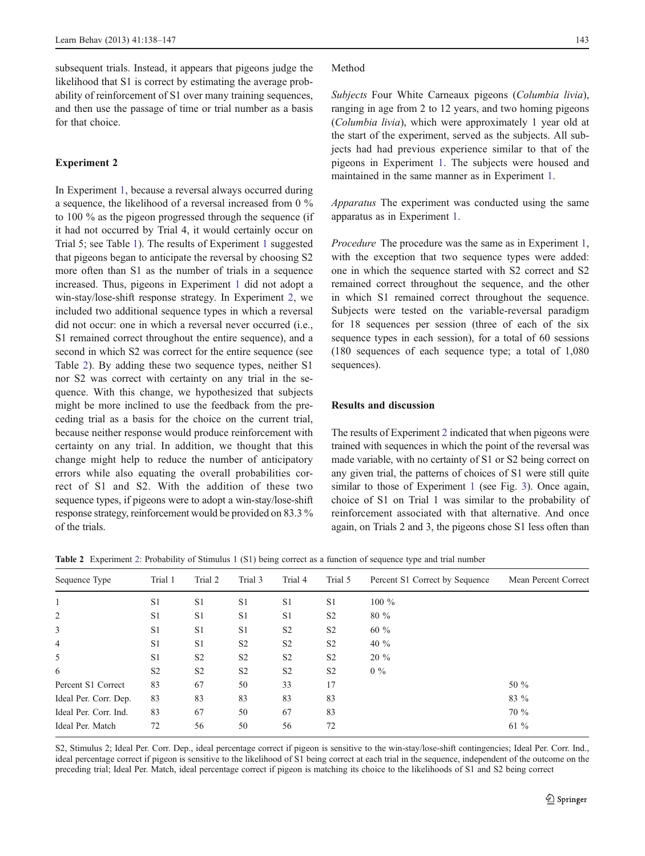<span id="page-5-0"></span>subsequent trials. Instead, it appears that pigeons judge the likelihood that S1 is correct by estimating the average probability of reinforcement of S1 over many training sequences, and then use the passage of time or trial number as a basis for that choice.

# Experiment 2

In Experiment [1,](#page-2-0) because a reversal always occurred during a sequence, the likelihood of a reversal increased from 0 % to 100 % as the pigeon progressed through the sequence (if it had not occurred by Trial 4, it would certainly occur on Trial 5; see Table [1\)](#page-3-0). The results of Experiment [1](#page-2-0) suggested that pigeons began to anticipate the reversal by choosing S2 more often than S1 as the number of trials in a sequence increased. Thus, pigeons in Experiment [1](#page-2-0) did not adopt a win-stay/lose-shift response strategy. In Experiment 2, we included two additional sequence types in which a reversal did not occur: one in which a reversal never occurred (i.e., S1 remained correct throughout the entire sequence), and a second in which S2 was correct for the entire sequence (see Table 2). By adding these two sequence types, neither S1 nor S2 was correct with certainty on any trial in the sequence. With this change, we hypothesized that subjects might be more inclined to use the feedback from the preceding trial as a basis for the choice on the current trial, because neither response would produce reinforcement with certainty on any trial. In addition, we thought that this change might help to reduce the number of anticipatory errors while also equating the overall probabilities correct of S1 and S2. With the addition of these two sequence types, if pigeons were to adopt a win-stay/lose-shift response strategy, reinforcement would be provided on 83.3 % of the trials.

#### Method

Subjects Four White Carneaux pigeons (Columbia livia), ranging in age from 2 to 12 years, and two homing pigeons (Columbia livia), which were approximately 1 year old at the start of the experiment, served as the subjects. All subjects had had previous experience similar to that of the pigeons in Experiment [1.](#page-2-0) The subjects were housed and maintained in the same manner as in Experiment [1.](#page-2-0)

Apparatus The experiment was conducted using the same apparatus as in Experiment [1.](#page-2-0)

Procedure The procedure was the same as in Experiment [1,](#page-2-0) with the exception that two sequence types were added: one in which the sequence started with S2 correct and S2 remained correct throughout the sequence, and the other in which S1 remained correct throughout the sequence. Subjects were tested on the variable-reversal paradigm for 18 sequences per session (three of each of the six sequence types in each session), for a total of 60 sessions (180 sequences of each sequence type; a total of 1,080 sequences).

## Results and discussion

The results of Experiment 2 indicated that when pigeons were trained with sequences in which the point of the reversal was made variable, with no certainty of S1 or S2 being correct on any given trial, the patterns of choices of S1 were still quite similar to those of Experiment [1](#page-2-0) (see Fig. [3\)](#page-6-0). Once again, choice of S1 on Trial 1 was similar to the probability of reinforcement associated with that alternative. And once again, on Trials 2 and 3, the pigeons chose S1 less often than

Table 2 Experiment 2: Probability of Stimulus 1 (S1) being correct as a function of sequence type and trial number

| Sequence Type         | Trial 1        | Trial 2        | Trial 3        | Trial 4        | Trial 5        | Percent S1 Correct by Sequence | Mean Percent Correct |
|-----------------------|----------------|----------------|----------------|----------------|----------------|--------------------------------|----------------------|
| $\mathbf{1}$          | S <sub>1</sub> | S <sub>1</sub> | S <sub>1</sub> | S <sub>1</sub> | S <sub>1</sub> | $100\%$                        |                      |
| 2                     | S <sub>1</sub> | S <sub>1</sub> | S <sub>1</sub> | S <sub>1</sub> | S <sub>2</sub> | $80\%$                         |                      |
| 3                     | S <sub>1</sub> | S <sub>1</sub> | S <sub>1</sub> | S <sub>2</sub> | S <sub>2</sub> | $60 \%$                        |                      |
| $\overline{4}$        | S <sub>1</sub> | S <sub>1</sub> | S <sub>2</sub> | S <sub>2</sub> | S <sub>2</sub> | 40 $\%$                        |                      |
| 5                     | S <sub>1</sub> | S <sub>2</sub> | S <sub>2</sub> | S <sub>2</sub> | S <sub>2</sub> | $20\%$                         |                      |
| 6                     | S <sub>2</sub> | S <sub>2</sub> | S <sub>2</sub> | S <sub>2</sub> | S <sub>2</sub> | $0\%$                          |                      |
| Percent S1 Correct    | 83             | 67             | 50             | 33             | 17             |                                | 50 $\%$              |
| Ideal Per. Corr. Dep. | 83             | 83             | 83             | 83             | 83             |                                | 83 %                 |
| Ideal Per. Corr. Ind. | 83             | 67             | 50             | 67             | 83             |                                | 70 %                 |
| Ideal Per. Match      | 72             | 56             | 50             | 56             | 72             |                                | 61 $%$               |
|                       |                |                |                |                |                |                                |                      |

S2, Stimulus 2; Ideal Per. Corr. Dep., ideal percentage correct if pigeon is sensitive to the win-stay/lose-shift contingencies; Ideal Per. Corr. Ind., ideal percentage correct if pigeon is sensitive to the likelihood of S1 being correct at each trial in the sequence, independent of the outcome on the preceding trial; Ideal Per. Match, ideal percentage correct if pigeon is matching its choice to the likelihoods of S1 and S2 being correct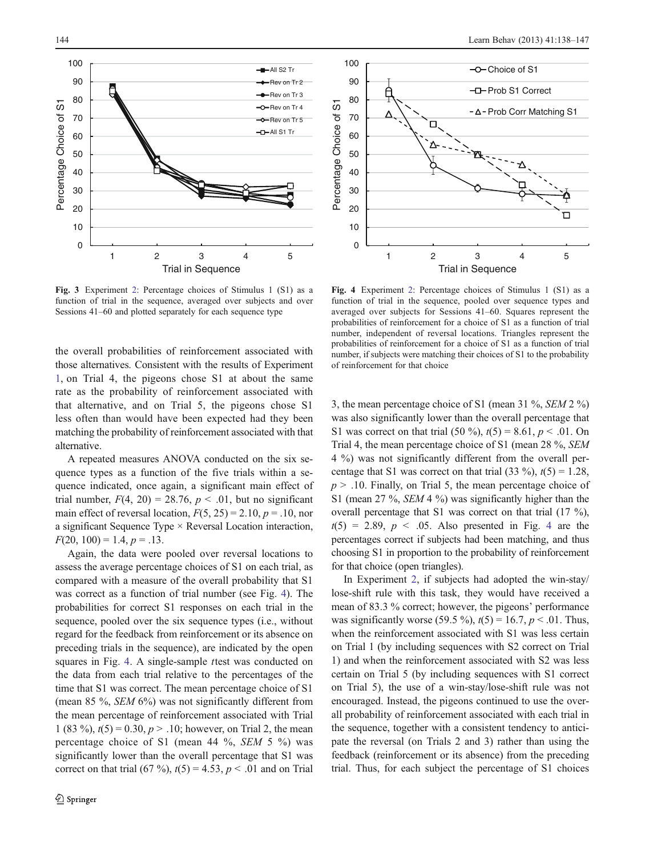<span id="page-6-0"></span>

Fig. 3 Experiment [2](#page-5-0): Percentage choices of Stimulus 1 (S1) as a function of trial in the sequence, averaged over subjects and over Sessions 41–60 and plotted separately for each sequence type

the overall probabilities of reinforcement associated with those alternatives. Consistent with the results of Experiment [1,](#page-2-0) on Trial 4, the pigeons chose S1 at about the same rate as the probability of reinforcement associated with that alternative, and on Trial 5, the pigeons chose S1 less often than would have been expected had they been matching the probability of reinforcement associated with that alternative.

A repeated measures ANOVA conducted on the six sequence types as a function of the five trials within a sequence indicated, once again, a significant main effect of trial number,  $F(4, 20) = 28.76$ ,  $p < .01$ , but no significant main effect of reversal location,  $F(5, 25) = 2.10$ ,  $p = .10$ , nor a significant Sequence Type × Reversal Location interaction,  $F(20, 100) = 1.4, p = .13.$ 

Again, the data were pooled over reversal locations to assess the average percentage choices of S1 on each trial, as compared with a measure of the overall probability that S1 was correct as a function of trial number (see Fig. 4). The probabilities for correct S1 responses on each trial in the sequence, pooled over the six sequence types (i.e., without regard for the feedback from reinforcement or its absence on preceding trials in the sequence), are indicated by the open squares in Fig. 4. A single-sample ttest was conducted on the data from each trial relative to the percentages of the time that S1 was correct. The mean percentage choice of S1 (mean 85 %, SEM 6%) was not significantly different from the mean percentage of reinforcement associated with Trial 1 (83 %),  $t(5) = 0.30, p > 0.10$ ; however, on Trial 2, the mean percentage choice of S1 (mean 44 %, SEM 5 %) was significantly lower than the overall percentage that S1 was correct on that trial (67 %),  $t(5) = 4.53$ ,  $p < .01$  and on Trial



Fig. 4 Experiment [2](#page-5-0): Percentage choices of Stimulus 1 (S1) as a function of trial in the sequence, pooled over sequence types and averaged over subjects for Sessions 41–60. Squares represent the probabilities of reinforcement for a choice of S1 as a function of trial number, independent of reversal locations. Triangles represent the probabilities of reinforcement for a choice of S1 as a function of trial number, if subjects were matching their choices of S1 to the probability of reinforcement for that choice

3, the mean percentage choice of S1 (mean 31 %, SEM 2 %) was also significantly lower than the overall percentage that S1 was correct on that trial  $(50 \text{ %}), t(5) = 8.61, p < .01$ . On Trial 4, the mean percentage choice of S1 (mean 28 %, SEM 4 %) was not significantly different from the overall percentage that S1 was correct on that trial  $(33 \%)$ ,  $t(5) = 1.28$ ,  $p > .10$ . Finally, on Trial 5, the mean percentage choice of S1 (mean 27  $\%$ , SEM 4  $\%$ ) was significantly higher than the overall percentage that S1 was correct on that trial (17 %),  $t(5) = 2.89$ ,  $p < .05$ . Also presented in Fig. 4 are the percentages correct if subjects had been matching, and thus choosing S1 in proportion to the probability of reinforcement for that choice (open triangles).

In Experiment [2,](#page-5-0) if subjects had adopted the win-stay/ lose-shift rule with this task, they would have received a mean of 83.3 % correct; however, the pigeons' performance was significantly worse (59.5 %),  $t(5) = 16.7, p < .01$ . Thus, when the reinforcement associated with S1 was less certain on Trial 1 (by including sequences with S2 correct on Trial 1) and when the reinforcement associated with S2 was less certain on Trial 5 (by including sequences with S1 correct on Trial 5), the use of a win-stay/lose-shift rule was not encouraged. Instead, the pigeons continued to use the overall probability of reinforcement associated with each trial in the sequence, together with a consistent tendency to anticipate the reversal (on Trials 2 and 3) rather than using the feedback (reinforcement or its absence) from the preceding trial. Thus, for each subject the percentage of S1 choices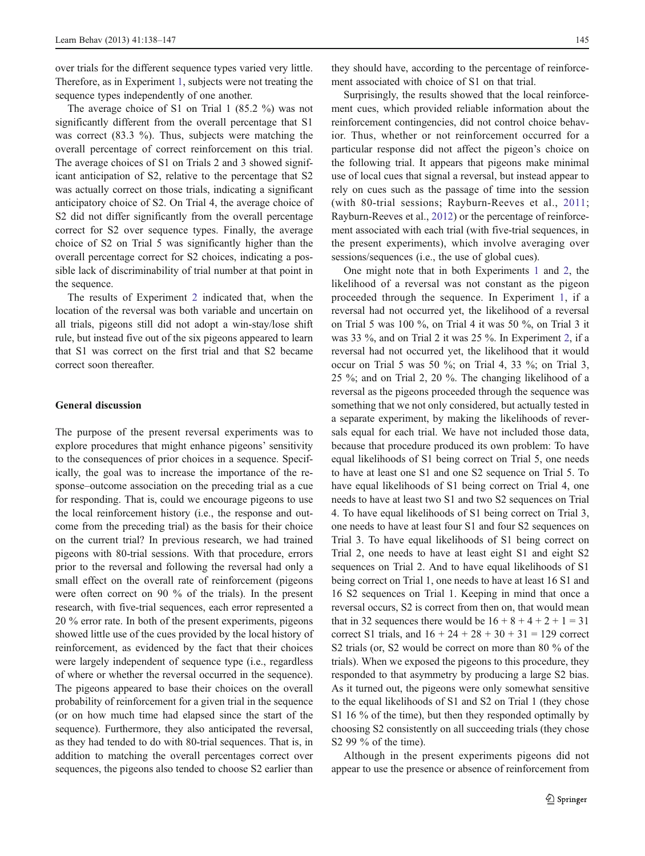over trials for the different sequence types varied very little. Therefore, as in Experiment [1,](#page-2-0) subjects were not treating the sequence types independently of one another.

The average choice of S1 on Trial 1 (85.2 %) was not significantly different from the overall percentage that S1 was correct (83.3 %). Thus, subjects were matching the overall percentage of correct reinforcement on this trial. The average choices of S1 on Trials 2 and 3 showed significant anticipation of S2, relative to the percentage that S2 was actually correct on those trials, indicating a significant anticipatory choice of S2. On Trial 4, the average choice of S2 did not differ significantly from the overall percentage correct for S2 over sequence types. Finally, the average choice of S2 on Trial 5 was significantly higher than the overall percentage correct for S2 choices, indicating a possible lack of discriminability of trial number at that point in the sequence.

The results of Experiment [2](#page-5-0) indicated that, when the location of the reversal was both variable and uncertain on all trials, pigeons still did not adopt a win-stay/lose shift rule, but instead five out of the six pigeons appeared to learn that S1 was correct on the first trial and that S2 became correct soon thereafter.

#### General discussion

The purpose of the present reversal experiments was to explore procedures that might enhance pigeons' sensitivity to the consequences of prior choices in a sequence. Specifically, the goal was to increase the importance of the response–outcome association on the preceding trial as a cue for responding. That is, could we encourage pigeons to use the local reinforcement history (i.e., the response and outcome from the preceding trial) as the basis for their choice on the current trial? In previous research, we had trained pigeons with 80-trial sessions. With that procedure, errors prior to the reversal and following the reversal had only a small effect on the overall rate of reinforcement (pigeons were often correct on 90 % of the trials). In the present research, with five-trial sequences, each error represented a 20 % error rate. In both of the present experiments, pigeons showed little use of the cues provided by the local history of reinforcement, as evidenced by the fact that their choices were largely independent of sequence type (i.e., regardless of where or whether the reversal occurred in the sequence). The pigeons appeared to base their choices on the overall probability of reinforcement for a given trial in the sequence (or on how much time had elapsed since the start of the sequence). Furthermore, they also anticipated the reversal, as they had tended to do with 80-trial sequences. That is, in addition to matching the overall percentages correct over sequences, the pigeons also tended to choose S2 earlier than

they should have, according to the percentage of reinforcement associated with choice of S1 on that trial.

Surprisingly, the results showed that the local reinforcement cues, which provided reliable information about the reinforcement contingencies, did not control choice behavior. Thus, whether or not reinforcement occurred for a particular response did not affect the pigeon's choice on the following trial. It appears that pigeons make minimal use of local cues that signal a reversal, but instead appear to rely on cues such as the passage of time into the session (with 80-trial sessions; Rayburn-Reeves et al., [2011;](#page-9-0) Rayburn-Reeves et al., [2012\)](#page-9-0) or the percentage of reinforcement associated with each trial (with five-trial sequences, in the present experiments), which involve averaging over sessions/sequences (i.e., the use of global cues).

One might note that in both Experiments [1](#page-2-0) and [2,](#page-5-0) the likelihood of a reversal was not constant as the pigeon proceeded through the sequence. In Experiment [1,](#page-2-0) if a reversal had not occurred yet, the likelihood of a reversal on Trial 5 was 100 %, on Trial 4 it was 50 %, on Trial 3 it was 33 %, and on Trial 2 it was 25 %. In Experiment [2](#page-5-0), if a reversal had not occurred yet, the likelihood that it would occur on Trial 5 was 50 %; on Trial 4, 33 %; on Trial 3, 25 %; and on Trial 2, 20 %. The changing likelihood of a reversal as the pigeons proceeded through the sequence was something that we not only considered, but actually tested in a separate experiment, by making the likelihoods of reversals equal for each trial. We have not included those data, because that procedure produced its own problem: To have equal likelihoods of S1 being correct on Trial 5, one needs to have at least one S1 and one S2 sequence on Trial 5. To have equal likelihoods of S1 being correct on Trial 4, one needs to have at least two S1 and two S2 sequences on Trial 4. To have equal likelihoods of S1 being correct on Trial 3, one needs to have at least four S1 and four S2 sequences on Trial 3. To have equal likelihoods of S1 being correct on Trial 2, one needs to have at least eight S1 and eight S2 sequences on Trial 2. And to have equal likelihoods of S1 being correct on Trial 1, one needs to have at least 16 S1 and 16 S2 sequences on Trial 1. Keeping in mind that once a reversal occurs, S2 is correct from then on, that would mean that in 32 sequences there would be  $16 + 8 + 4 + 2 + 1 = 31$ correct S1 trials, and  $16 + 24 + 28 + 30 + 31 = 129$  correct S2 trials (or, S2 would be correct on more than 80 % of the trials). When we exposed the pigeons to this procedure, they responded to that asymmetry by producing a large S2 bias. As it turned out, the pigeons were only somewhat sensitive to the equal likelihoods of S1 and S2 on Trial 1 (they chose S1 16 % of the time), but then they responded optimally by choosing S2 consistently on all succeeding trials (they chose S2 99 % of the time).

Although in the present experiments pigeons did not appear to use the presence or absence of reinforcement from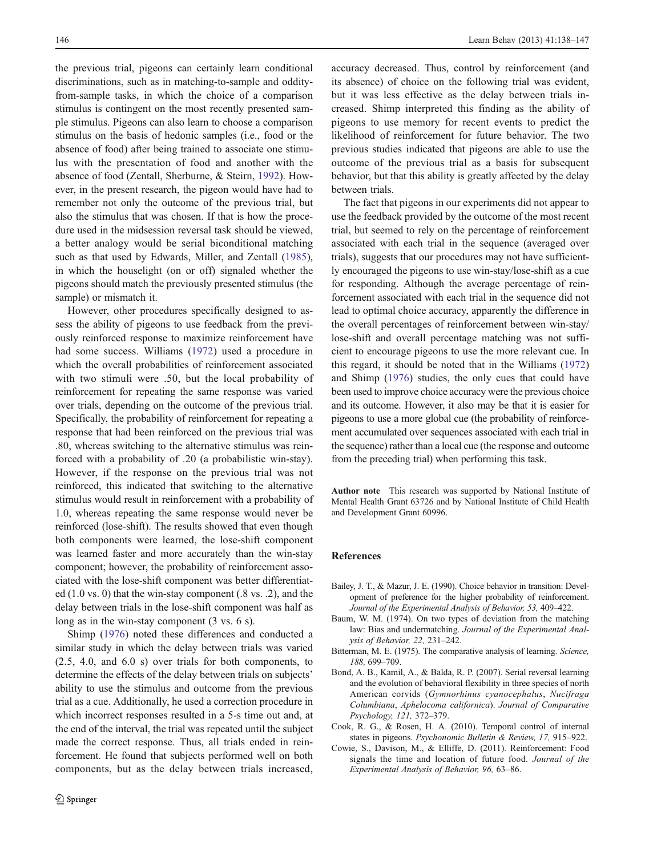<span id="page-8-0"></span>the previous trial, pigeons can certainly learn conditional discriminations, such as in matching-to-sample and oddityfrom-sample tasks, in which the choice of a comparison stimulus is contingent on the most recently presented sample stimulus. Pigeons can also learn to choose a comparison stimulus on the basis of hedonic samples (i.e., food or the absence of food) after being trained to associate one stimulus with the presentation of food and another with the absence of food (Zentall, Sherburne, & Steirn, [1992](#page-9-0)). However, in the present research, the pigeon would have had to remember not only the outcome of the previous trial, but also the stimulus that was chosen. If that is how the procedure used in the midsession reversal task should be viewed, a better analogy would be serial biconditional matching such as that used by Edwards, Miller, and Zentall [\(1985](#page-9-0)), in which the houselight (on or off) signaled whether the pigeons should match the previously presented stimulus (the sample) or mismatch it.

However, other procedures specifically designed to assess the ability of pigeons to use feedback from the previously reinforced response to maximize reinforcement have had some success. Williams ([1972](#page-9-0)) used a procedure in which the overall probabilities of reinforcement associated with two stimuli were .50, but the local probability of reinforcement for repeating the same response was varied over trials, depending on the outcome of the previous trial. Specifically, the probability of reinforcement for repeating a response that had been reinforced on the previous trial was .80, whereas switching to the alternative stimulus was reinforced with a probability of .20 (a probabilistic win-stay). However, if the response on the previous trial was not reinforced, this indicated that switching to the alternative stimulus would result in reinforcement with a probability of 1.0, whereas repeating the same response would never be reinforced (lose-shift). The results showed that even though both components were learned, the lose-shift component was learned faster and more accurately than the win-stay component; however, the probability of reinforcement associated with the lose-shift component was better differentiated (1.0 vs. 0) that the win-stay component (.8 vs. .2), and the delay between trials in the lose-shift component was half as long as in the win-stay component (3 vs. 6 s).

Shimp ([1976\)](#page-9-0) noted these differences and conducted a similar study in which the delay between trials was varied (2.5, 4.0, and 6.0 s) over trials for both components, to determine the effects of the delay between trials on subjects' ability to use the stimulus and outcome from the previous trial as a cue. Additionally, he used a correction procedure in which incorrect responses resulted in a 5-s time out and, at the end of the interval, the trial was repeated until the subject made the correct response. Thus, all trials ended in reinforcement. He found that subjects performed well on both components, but as the delay between trials increased,

accuracy decreased. Thus, control by reinforcement (and its absence) of choice on the following trial was evident, but it was less effective as the delay between trials increased. Shimp interpreted this finding as the ability of pigeons to use memory for recent events to predict the likelihood of reinforcement for future behavior. The two previous studies indicated that pigeons are able to use the outcome of the previous trial as a basis for subsequent behavior, but that this ability is greatly affected by the delay between trials.

The fact that pigeons in our experiments did not appear to use the feedback provided by the outcome of the most recent trial, but seemed to rely on the percentage of reinforcement associated with each trial in the sequence (averaged over trials), suggests that our procedures may not have sufficiently encouraged the pigeons to use win-stay/lose-shift as a cue for responding. Although the average percentage of reinforcement associated with each trial in the sequence did not lead to optimal choice accuracy, apparently the difference in the overall percentages of reinforcement between win-stay/ lose-shift and overall percentage matching was not sufficient to encourage pigeons to use the more relevant cue. In this regard, it should be noted that in the Williams [\(1972](#page-9-0)) and Shimp [\(1976](#page-9-0)) studies, the only cues that could have been used to improve choice accuracy were the previous choice and its outcome. However, it also may be that it is easier for pigeons to use a more global cue (the probability of reinforcement accumulated over sequences associated with each trial in the sequence) rather than a local cue (the response and outcome from the preceding trial) when performing this task.

Author note This research was supported by National Institute of Mental Health Grant 63726 and by National Institute of Child Health and Development Grant 60996.

#### References

- Bailey, J. T., & Mazur, J. E. (1990). Choice behavior in transition: Development of preference for the higher probability of reinforcement. Journal of the Experimental Analysis of Behavior, 53, 409–422.
- Baum, W. M. (1974). On two types of deviation from the matching law: Bias and undermatching. Journal of the Experimental Analysis of Behavior, 22, 231–242.
- Bitterman, M. E. (1975). The comparative analysis of learning. Science, 188, 699–709.
- Bond, A. B., Kamil, A., & Balda, R. P. (2007). Serial reversal learning and the evolution of behavioral flexibility in three species of north American corvids (Gymnorhinus cyanocephalus, Nucifraga Columbiana, Aphelocoma californica). Journal of Comparative Psychology, 121, 372–379.
- Cook, R. G., & Rosen, H. A. (2010). Temporal control of internal states in pigeons. Psychonomic Bulletin & Review, 17, 915–922.
- Cowie, S., Davison, M., & Elliffe, D. (2011). Reinforcement: Food signals the time and location of future food. Journal of the Experimental Analysis of Behavior, 96, 63–86.